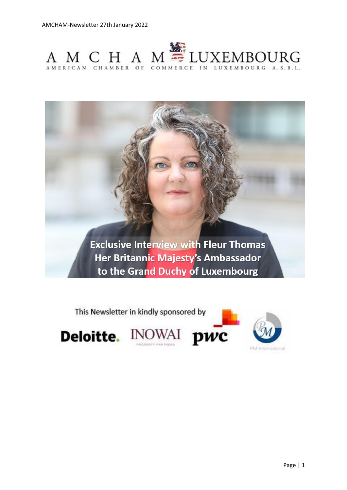

**Exclusive Interview with Fleur Thomas** Her Britannic Majesty's Ambassador to the Grand Duchy of Luxembourg



Page | 1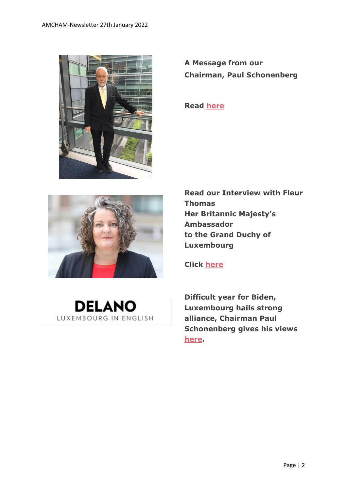

**A Message from our Chairman, Paul Schonenberg**

**Read [here](https://www.amcham.lu/newsletter/18185/)**



**Read our Interview with Fleur Thomas Her Britannic Majesty's Ambassador to the Grand Duchy of Luxembourg**

**Click [here](https://www.amcham.lu/newsletter/exclusive-interview-with-fleur-thomas-the-british-ambassador-to-luxembourg/)**



**Difficult year for Biden, Luxembourg hails strong alliance, Chairman Paul Schonenberg gives his views [here.](https://delano.lu/article/difficult-year-for-biden-luxem)**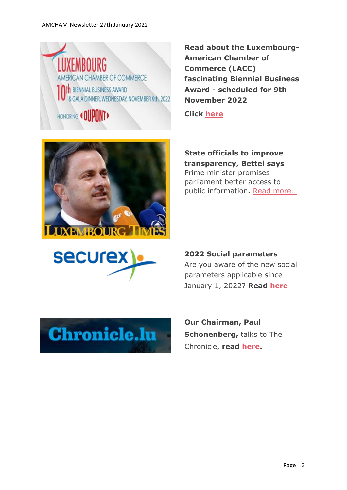## AMCHAM-Newsletter 27th January 2022



**Read about the Luxembourg-American Chamber of Commerce (LACC) fascinating Biennial Business Award - scheduled for 9th November 2022**

**Click [here](https://www.amcham.lu/newsletter/lacc-biennial-business-award-9th-november-2022/)**



**State officials to improve transparency, Bettel says** Prime minister promises parliament better access to public information**.** [Read more…](https://www.luxtimes.lu/en/luxembourg/state-officials-to-improve-transparency-bettel-says-61ead953de135b923636aa0d?utm_source=amcham_newsletter_&utm_medium=amcham_newsletter_&utm_term=amcham_newsletter_)



**2022 Social parameters** Are you aware of the new social parameters applicable since January 1, 2022? **Read [here](https://www.securex.lu/sites/default/files/2022-01/Social_parameters_2022.pdf)**



**Our Chairman, Paul Schonenberg,** talks to The Chronicle, **read [here.](https://chronicle.lu/category/american-chamber-amcham/39132-interview-paul-schonenberg-on-how-amcham-adapted-to-covid-19-pandemic)**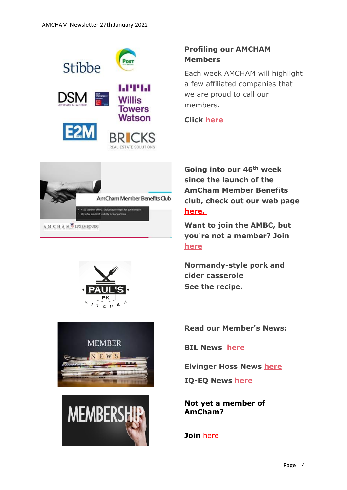









## **Profiling our AMCHAM Members**

Each week AMCHAM will highlight a few affiliated companies that we are proud to call our members.

**Click [here](https://www.amcham.lu/newsletter/profiling-our-amcham-members-27-january-2022/)**

**Going into our 46th week since the launch of the AmCham Member Benefits club, check out our web page [here.](https://www.amcham.lu/amcham-benefits-club/)**

**Want to join the AMBC, but you're not a member? Join [here](https://www.amcham.lu/amcham-benefits-club/ambc-card-for-non-members/)**

**Normandy-style pork and cider casserole See the recipe.**

**Read our Member's News:**

**BIL News [here](https://www.amcham.lu/newsletter/bil-launches-its-new-range-of-banking-offers-for-individual-and-business-clients/)**

**Elvinger Hoss News [here](https://www.amcham.lu/newsletter/18179/)**

**IQ-EQ News [here](https://www.amcham.lu/iq-eq-launchpad-to-support-first-time-female-fund-managers/)**

**Not yet a member of AmCham?** 

## **Join** [here](https://www.amcham.lu/newsletter/membership-details/)